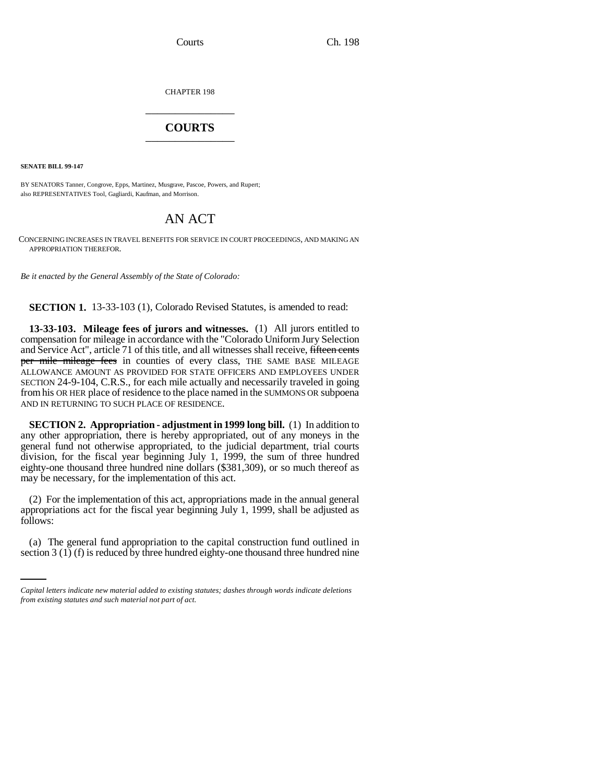CHAPTER 198 \_\_\_\_\_\_\_\_\_\_\_\_\_\_\_

## **COURTS** \_\_\_\_\_\_\_\_\_\_\_\_\_\_\_

**SENATE BILL 99-147**

BY SENATORS Tanner, Congrove, Epps, Martinez, Musgrave, Pascoe, Powers, and Rupert; also REPRESENTATIVES Tool, Gagliardi, Kaufman, and Morrison.

## AN ACT

CONCERNING INCREASES IN TRAVEL BENEFITS FOR SERVICE IN COURT PROCEEDINGS, AND MAKING AN APPROPRIATION THEREFOR.

*Be it enacted by the General Assembly of the State of Colorado:*

**SECTION 1.** 13-33-103 (1), Colorado Revised Statutes, is amended to read:

**13-33-103. Mileage fees of jurors and witnesses.** (1) All jurors entitled to compensation for mileage in accordance with the "Colorado Uniform Jury Selection and Service Act", article 71 of this title, and all witnesses shall receive, fifteen cents per mile mileage fees in counties of every class, THE SAME BASE MILEAGE ALLOWANCE AMOUNT AS PROVIDED FOR STATE OFFICERS AND EMPLOYEES UNDER SECTION 24-9-104, C.R.S., for each mile actually and necessarily traveled in going from his OR HER place of residence to the place named in the SUMMONS OR subpoena AND IN RETURNING TO SUCH PLACE OF RESIDENCE.

**SECTION 2. Appropriation - adjustment in 1999 long bill.** (1) In addition to any other appropriation, there is hereby appropriated, out of any moneys in the general fund not otherwise appropriated, to the judicial department, trial courts division, for the fiscal year beginning July 1, 1999, the sum of three hundred eighty-one thousand three hundred nine dollars (\$381,309), or so much thereof as may be necessary, for the implementation of this act.

follows: (2) For the implementation of this act, appropriations made in the annual general appropriations act for the fiscal year beginning July 1, 1999, shall be adjusted as

(a) The general fund appropriation to the capital construction fund outlined in section 3 (1) (f) is reduced by three hundred eighty-one thousand three hundred nine

*Capital letters indicate new material added to existing statutes; dashes through words indicate deletions from existing statutes and such material not part of act.*